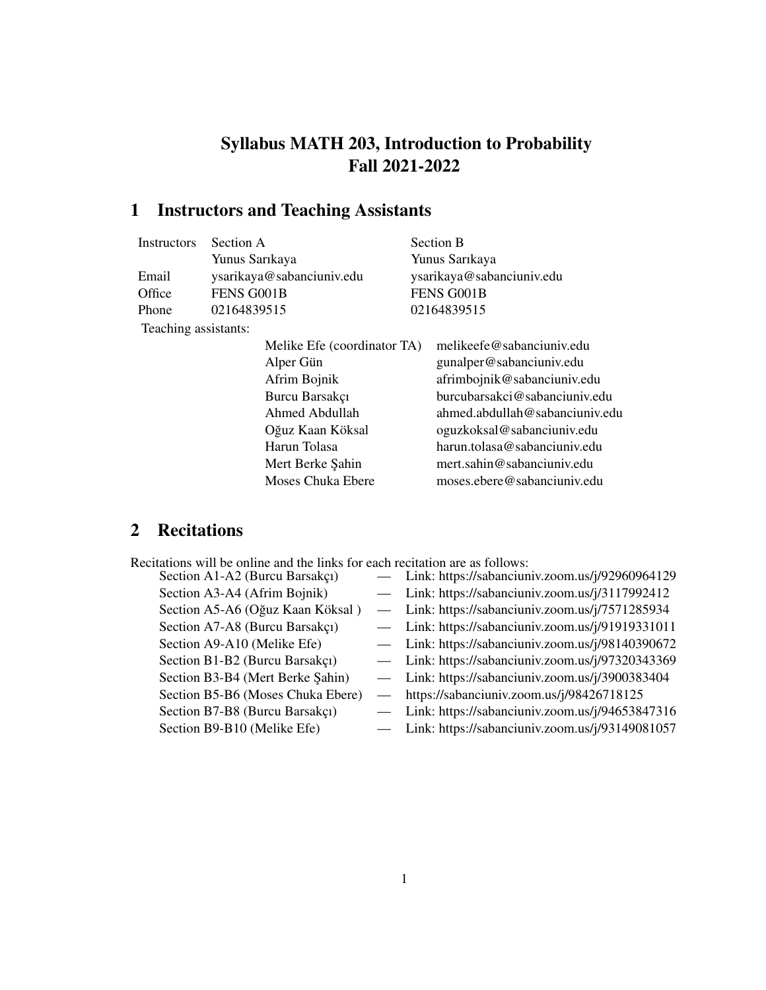# Syllabus MATH 203, Introduction to Probability Fall 2021-2022

# 1 Instructors and Teaching Assistants

| Instructors          | Section A                 |                             | Section B                 |                                |
|----------------------|---------------------------|-----------------------------|---------------------------|--------------------------------|
|                      | Yunus Sarıkaya            |                             | Yunus Sarıkaya            |                                |
| Email                | ysarikaya@sabanciuniv.edu |                             | ysarikaya@sabanciuniv.edu |                                |
| Office               | FENS G001B                |                             | FENS G001B                |                                |
| Phone                | 02164839515               |                             |                           | 02164839515                    |
| Teaching assistants: |                           |                             |                           |                                |
|                      |                           | Melike Efe (coordinator TA) |                           | melikeefe@sabanciuniv.edu      |
|                      |                           | Alper Gün                   |                           | gunalper@sabanciuniv.edu       |
|                      |                           | Afrim Bojnik                |                           | afrimbojnik@sabanciuniv.edu    |
|                      |                           | Burcu Barsakçı              |                           | burcubarsakci@sabanciuniv.edu  |
|                      |                           | Ahmed Abdullah              |                           | ahmed.abdullah@sabanciuniv.edu |
|                      |                           | Oğuz Kaan Köksal            |                           | oguzkoksal@sabanciuniv.edu     |
|                      |                           | Harun Tolasa                |                           | harun.tolasa@sabanciuniv.edu   |
|                      |                           | Mert Berke Şahin            |                           | mert.sahin@sabanciuniv.edu     |
|                      |                           | Moses Chuka Ebere           |                           | moses.ebere@sabanciuniv.edu    |
|                      |                           |                             |                           |                                |

## 2 Recitations

| Recitations will be online and the links for each recitation are as follows: |
|------------------------------------------------------------------------------|
|------------------------------------------------------------------------------|

| Section A1-A2 (Burcu Barsakçı)    | Link: https://sabanciuniv.zoom.us/j/92960964129   |
|-----------------------------------|---------------------------------------------------|
| Section A3-A4 (Afrim Bojnik)      | - Link: https://sabanciuniv.zoom.us/j/3117992412  |
| Section A5-A6 (Oğuz Kaan Köksal)  | - Link: https://sabanciuniv.zoom.us/j/7571285934  |
| Section A7-A8 (Burcu Barsakçı)    | - Link: https://sabanciuniv.zoom.us/j/91919331011 |
| Section A9-A10 (Melike Efe)       | - Link: https://sabanciuniv.zoom.us/j/98140390672 |
| Section B1-B2 (Burcu Barsakçı)    | - Link: https://sabanciuniv.zoom.us/j/97320343369 |
| Section B3-B4 (Mert Berke Şahin)  | - Link: https://sabanciuniv.zoom.us/j/3900383404  |
| Section B5-B6 (Moses Chuka Ebere) | https://sabanciuniv.zoom.us/j/98426718125         |
| Section B7-B8 (Burcu Barsakçı)    | Link: https://sabanciuniv.zoom.us/j/94653847316   |
| Section B9-B10 (Melike Efe)       | Link: https://sabanciuniv.zoom.us/j/93149081057   |
|                                   |                                                   |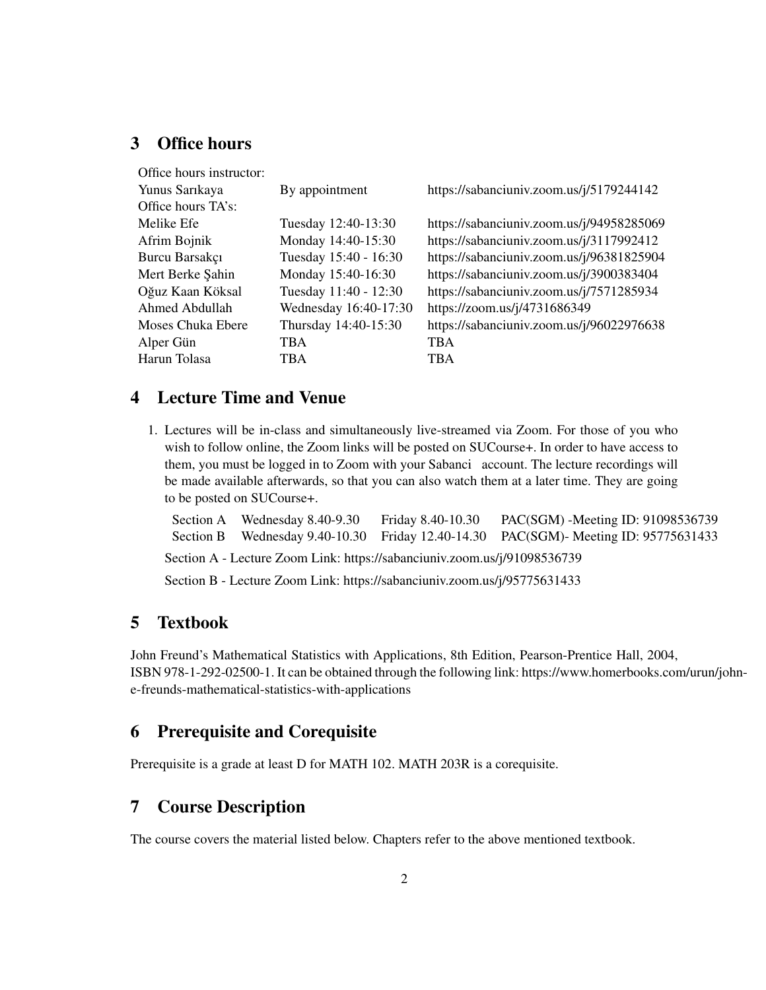#### 3 Office hours

| Office hours instructor: |                       |                                           |
|--------------------------|-----------------------|-------------------------------------------|
| Yunus Sarıkaya           | By appointment        | https://sabanciuniv.zoom.us/j/5179244142  |
| Office hours TA's:       |                       |                                           |
| Melike Efe               | Tuesday 12:40-13:30   | https://sabanciuniv.zoom.us/j/94958285069 |
| Afrim Bojnik             | Monday 14:40-15:30    | https://sabanciuniv.zoom.us/j/3117992412  |
| Burcu Barsakçı           | Tuesday 15:40 - 16:30 | https://sabanciuniv.zoom.us/j/96381825904 |
| Mert Berke Şahin         | Monday 15:40-16:30    | https://sabanciuniv.zoom.us/j/3900383404  |
| Oğuz Kaan Köksal         | Tuesday 11:40 - 12:30 | https://sabanciuniv.zoom.us/j/7571285934  |
| Ahmed Abdullah           | Wednesday 16:40-17:30 | https://zoom.us/j/4731686349              |
| Moses Chuka Ebere        | Thursday 14:40-15:30  | https://sabanciuniv.zoom.us/j/96022976638 |
| Alper Gün                | TBA                   | <b>TBA</b>                                |
| Harun Tolasa             | <b>TBA</b>            | <b>TBA</b>                                |
|                          |                       |                                           |

#### 4 Lecture Time and Venue

1. Lectures will be in-class and simultaneously live-streamed via Zoom. For those of you who wish to follow online, the Zoom links will be posted on SUCourse+. In order to have access to them, you must be logged in to Zoom with your Sabanci account. The lecture recordings will be made available afterwards, so that you can also watch them at a later time. They are going to be posted on SUCourse+.

Section A Wednesday 8.40-9.30 Friday 8.40-10.30 PAC(SGM) -Meeting ID: 91098536739 Section B Wednesday 9.40-10.30 Friday 12.40-14.30 PAC(SGM)- Meeting ID: 95775631433 Section A - Lecture Zoom Link: https://sabanciuniv.zoom.us/j/91098536739

Section B - Lecture Zoom Link: https://sabanciuniv.zoom.us/j/95775631433

#### 5 Textbook

John Freund's Mathematical Statistics with Applications, 8th Edition, Pearson-Prentice Hall, 2004, ISBN 978-1-292-02500-1. It can be obtained through the following link: https://www.homerbooks.com/urun/johne-freunds-mathematical-statistics-with-applications

#### 6 Prerequisite and Corequisite

Prerequisite is a grade at least D for MATH 102. MATH 203R is a corequisite.

## 7 Course Description

The course covers the material listed below. Chapters refer to the above mentioned textbook.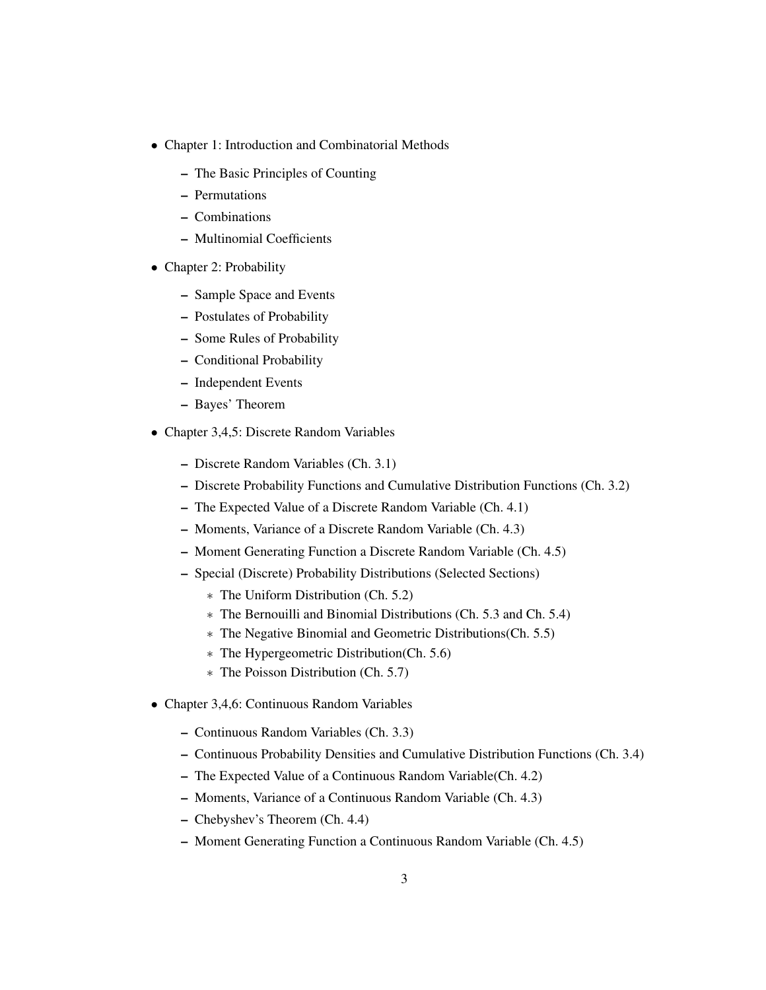- Chapter 1: Introduction and Combinatorial Methods
	- The Basic Principles of Counting
	- Permutations
	- Combinations
	- Multinomial Coefficients
- Chapter 2: Probability
	- Sample Space and Events
	- Postulates of Probability
	- Some Rules of Probability
	- Conditional Probability
	- Independent Events
	- Bayes' Theorem
- Chapter 3,4,5: Discrete Random Variables
	- Discrete Random Variables (Ch. 3.1)
	- Discrete Probability Functions and Cumulative Distribution Functions (Ch. 3.2)
	- The Expected Value of a Discrete Random Variable (Ch. 4.1)
	- Moments, Variance of a Discrete Random Variable (Ch. 4.3)
	- Moment Generating Function a Discrete Random Variable (Ch. 4.5)
	- Special (Discrete) Probability Distributions (Selected Sections)
		- ∗ The Uniform Distribution (Ch. 5.2)
		- ∗ The Bernouilli and Binomial Distributions (Ch. 5.3 and Ch. 5.4)
		- ∗ The Negative Binomial and Geometric Distributions(Ch. 5.5)
		- ∗ The Hypergeometric Distribution(Ch. 5.6)
		- ∗ The Poisson Distribution (Ch. 5.7)
- Chapter 3,4,6: Continuous Random Variables
	- Continuous Random Variables (Ch. 3.3)
	- Continuous Probability Densities and Cumulative Distribution Functions (Ch. 3.4)
	- The Expected Value of a Continuous Random Variable(Ch. 4.2)
	- Moments, Variance of a Continuous Random Variable (Ch. 4.3)
	- Chebyshev's Theorem (Ch. 4.4)
	- Moment Generating Function a Continuous Random Variable (Ch. 4.5)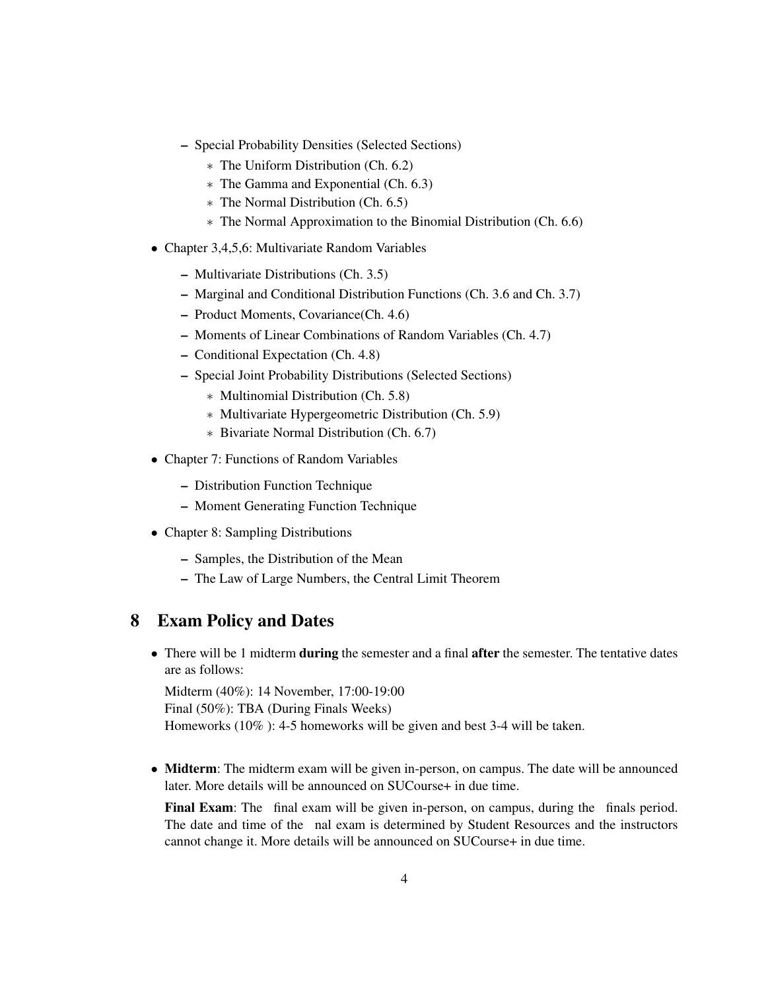- Special Probability Densities (Selected Sections)
	- ∗ The Uniform Distribution (Ch. 6.2)
	- ∗ The Gamma and Exponential (Ch. 6.3)
	- ∗ The Normal Distribution (Ch. 6.5)
	- ∗ The Normal Approximation to the Binomial Distribution (Ch. 6.6)
- Chapter 3,4,5,6: Multivariate Random Variables
	- Multivariate Distributions (Ch. 3.5)
	- Marginal and Conditional Distribution Functions (Ch. 3.6 and Ch. 3.7)
	- Product Moments, Covariance(Ch. 4.6)
	- Moments of Linear Combinations of Random Variables (Ch. 4.7)
	- Conditional Expectation (Ch. 4.8)
	- Special Joint Probability Distributions (Selected Sections)
		- ∗ Multinomial Distribution (Ch. 5.8)
		- ∗ Multivariate Hypergeometric Distribution (Ch. 5.9)
		- ∗ Bivariate Normal Distribution (Ch. 6.7)
- Chapter 7: Functions of Random Variables
	- Distribution Function Technique
	- Moment Generating Function Technique
- Chapter 8: Sampling Distributions
	- Samples, the Distribution of the Mean
	- The Law of Large Numbers, the Central Limit Theorem

### 8 Exam Policy and Dates

• There will be 1 midterm during the semester and a final after the semester. The tentative dates are as follows:

Midterm (40%): 14 November, 17:00-19:00 Final (50%): TBA (During Finals Weeks) Homeworks (10% ): 4-5 homeworks will be given and best 3-4 will be taken.

• Midterm: The midterm exam will be given in-person, on campus. The date will be announced later. More details will be announced on SUCourse+ in due time.

Final Exam: The final exam will be given in-person, on campus, during the finals period. The date and time of the nal exam is determined by Student Resources and the instructors cannot change it. More details will be announced on SUCourse+ in due time.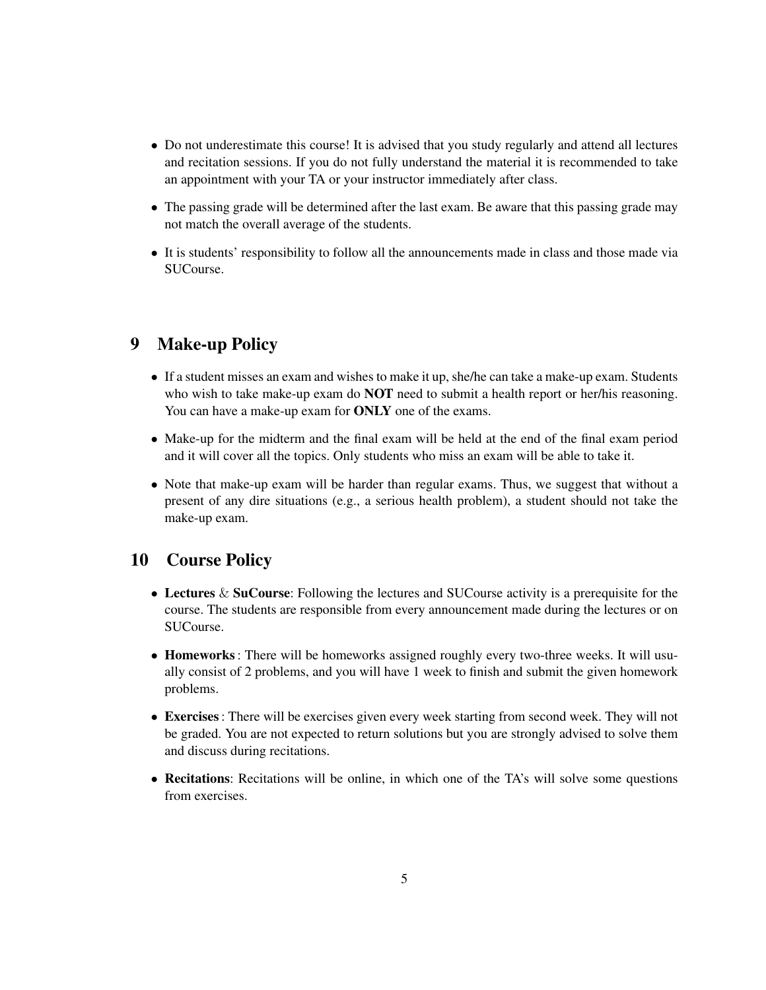- Do not underestimate this course! It is advised that you study regularly and attend all lectures and recitation sessions. If you do not fully understand the material it is recommended to take an appointment with your TA or your instructor immediately after class.
- The passing grade will be determined after the last exam. Be aware that this passing grade may not match the overall average of the students.
- It is students' responsibility to follow all the announcements made in class and those made via SUCourse.

#### 9 Make-up Policy

- If a student misses an exam and wishes to make it up, she/he can take a make-up exam. Students who wish to take make-up exam do **NOT** need to submit a health report or her/his reasoning. You can have a make-up exam for **ONLY** one of the exams.
- Make-up for the midterm and the final exam will be held at the end of the final exam period and it will cover all the topics. Only students who miss an exam will be able to take it.
- Note that make-up exam will be harder than regular exams. Thus, we suggest that without a present of any dire situations (e.g., a serious health problem), a student should not take the make-up exam.

#### 10 Course Policy

- Lectures & SuCourse: Following the lectures and SUCourse activity is a prerequisite for the course. The students are responsible from every announcement made during the lectures or on SUCourse.
- **Homeworks**: There will be homeworks assigned roughly every two-three weeks. It will usually consist of 2 problems, and you will have 1 week to finish and submit the given homework problems.
- Exercises: There will be exercises given every week starting from second week. They will not be graded. You are not expected to return solutions but you are strongly advised to solve them and discuss during recitations.
- Recitations: Recitations will be online, in which one of the TA's will solve some questions from exercises.